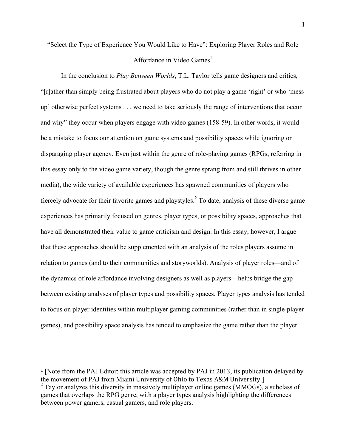"Select the Type of Experience You Would Like to Have": Exploring Player Roles and Role Affordance in Video  $Games<sup>1</sup>$ 

In the conclusion to *Play Between Worlds*, T.L. Taylor tells game designers and critics, "[r]ather than simply being frustrated about players who do not play a game 'right' or who 'mess up' otherwise perfect systems . . . we need to take seriously the range of interventions that occur and why" they occur when players engage with video games (158-59). In other words, it would be a mistake to focus our attention on game systems and possibility spaces while ignoring or disparaging player agency. Even just within the genre of role-playing games (RPGs, referring in this essay only to the video game variety, though the genre sprang from and still thrives in other media), the wide variety of available experiences has spawned communities of players who fiercely advocate for their favorite games and playstyles.<sup>2</sup> To date, analysis of these diverse game experiences has primarily focused on genres, player types, or possibility spaces, approaches that have all demonstrated their value to game criticism and design. In this essay, however, I argue that these approaches should be supplemented with an analysis of the roles players assume in relation to games (and to their communities and storyworlds). Analysis of player roles—and of the dynamics of role affordance involving designers as well as players—helps bridge the gap between existing analyses of player types and possibility spaces. Player types analysis has tended to focus on player identities within multiplayer gaming communities (rather than in single-player games), and possibility space analysis has tended to emphasize the game rather than the player

 

<sup>1</sup> [Note from the PAJ Editor: this article was accepted by PAJ in 2013, its publication delayed by the movement of PAJ from Miami University of Ohio to Texas A&M University.]

 $2$  Taylor analyzes this diversity in massively multiplayer online games (MMOGs), a subclass of games that overlaps the RPG genre, with a player types analysis highlighting the differences between power gamers, casual gamers, and role players.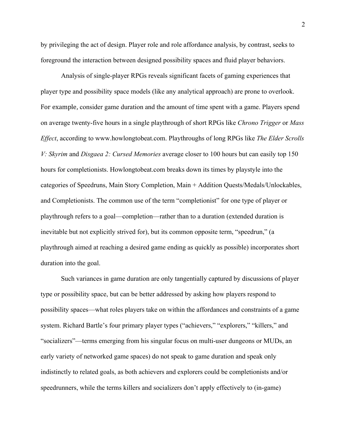by privileging the act of design. Player role and role affordance analysis, by contrast, seeks to foreground the interaction between designed possibility spaces and fluid player behaviors.

Analysis of single-player RPGs reveals significant facets of gaming experiences that player type and possibility space models (like any analytical approach) are prone to overlook. For example, consider game duration and the amount of time spent with a game. Players spend on average twenty-five hours in a single playthrough of short RPGs like *Chrono Trigger* or *Mass Effect*, according to www.howlongtobeat.com. Playthroughs of long RPGs like *The Elder Scrolls V: Skyrim* and *Disgaea 2: Cursed Memories* average closer to 100 hours but can easily top 150 hours for completionists. Howlongtobeat.com breaks down its times by playstyle into the categories of Speedruns, Main Story Completion, Main + Addition Quests/Medals/Unlockables, and Completionists. The common use of the term "completionist" for one type of player or playthrough refers to a goal—completion—rather than to a duration (extended duration is inevitable but not explicitly strived for), but its common opposite term, "speedrun," (a playthrough aimed at reaching a desired game ending as quickly as possible) incorporates short duration into the goal.

Such variances in game duration are only tangentially captured by discussions of player type or possibility space, but can be better addressed by asking how players respond to possibility spaces—what roles players take on within the affordances and constraints of a game system. Richard Bartle's four primary player types ("achievers," "explorers," "killers," and "socializers"—terms emerging from his singular focus on multi-user dungeons or MUDs, an early variety of networked game spaces) do not speak to game duration and speak only indistinctly to related goals, as both achievers and explorers could be completionists and/or speedrunners, while the terms killers and socializers don't apply effectively to (in-game)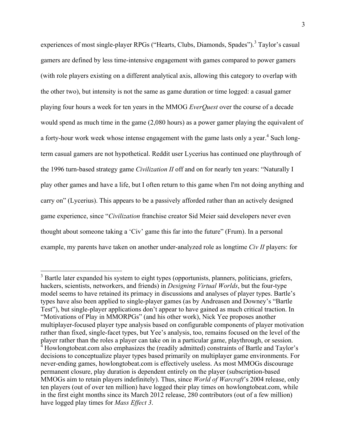experiences of most single-player RPGs ("Hearts, Clubs, Diamonds, Spades").<sup>3</sup> Taylor's casual gamers are defined by less time-intensive engagement with games compared to power gamers (with role players existing on a different analytical axis, allowing this category to overlap with the other two), but intensity is not the same as game duration or time logged: a casual gamer playing four hours a week for ten years in the MMOG *EverQuest* over the course of a decade would spend as much time in the game (2,080 hours) as a power gamer playing the equivalent of a forty-hour work week whose intense engagement with the game lasts only a year.<sup>4</sup> Such longterm casual gamers are not hypothetical. Reddit user Lycerius has continued one playthrough of the 1996 turn-based strategy game *Civilization II* off and on for nearly ten years: "Naturally I play other games and have a life, but I often return to this game when I'm not doing anything and carry on" (Lycerius). This appears to be a passively afforded rather than an actively designed game experience, since "*Civilization* franchise creator Sid Meier said developers never even thought about someone taking a 'Civ' game this far into the future" (Frum). In a personal example, my parents have taken on another under-analyzed role as longtime *Civ II* players: for

<sup>&</sup>lt;sup>3</sup> Bartle later expanded his system to eight types (opportunists, planners, politicians, griefers, hackers, scientists, networkers, and friends) in *Designing Virtual Worlds*, but the four-type model seems to have retained its primacy in discussions and analyses of player types. Bartle's types have also been applied to single-player games (as by Andreasen and Downey's "Bartle Test"), but single-player applications don't appear to have gained as much critical traction. In "Motivations of Play in MMORPGs" (and his other work), Nick Yee proposes another multiplayer-focused player type analysis based on configurable components of player motivation rather than fixed, single-facet types, but Yee's analysis, too, remains focused on the level of the player rather than the roles a player can take on in a particular game, playthrough, or session. <sup>4</sup> Howlongtobeat.com also emphasizes the (readily admitted) constraints of Bartle and Taylor's decisions to conceptualize player types based primarily on multiplayer game environments. For never-ending games, howlongtobeat.com is effectively useless. As most MMOGs discourage permanent closure, play duration is dependent entirely on the player (subscription-based MMOGs aim to retain players indefinitely). Thus, since *World of Warcraft*'s 2004 release, only ten players (out of over ten million) have logged their play times on howlongtobeat.com, while in the first eight months since its March 2012 release, 280 contributors (out of a few million) have logged play times for *Mass Effect 3*.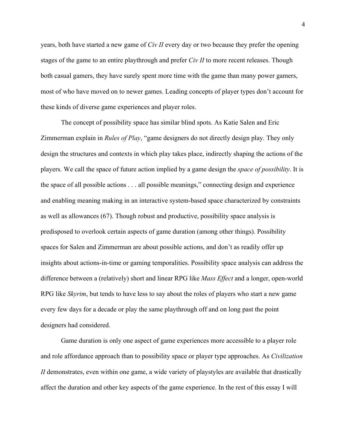years, both have started a new game of *Civ II* every day or two because they prefer the opening stages of the game to an entire playthrough and prefer *Civ II* to more recent releases. Though both casual gamers, they have surely spent more time with the game than many power gamers, most of who have moved on to newer games. Leading concepts of player types don't account for these kinds of diverse game experiences and player roles.

The concept of possibility space has similar blind spots. As Katie Salen and Eric Zimmerman explain in *Rules of Play*, "game designers do not directly design play. They only design the structures and contexts in which play takes place, indirectly shaping the actions of the players. We call the space of future action implied by a game design the *space of possibility*. It is the space of all possible actions . . . all possible meanings," connecting design and experience and enabling meaning making in an interactive system-based space characterized by constraints as well as allowances (67). Though robust and productive, possibility space analysis is predisposed to overlook certain aspects of game duration (among other things). Possibility spaces for Salen and Zimmerman are about possible actions, and don't as readily offer up insights about actions-in-time or gaming temporalities. Possibility space analysis can address the difference between a (relatively) short and linear RPG like *Mass Effect* and a longer, open-world RPG like *Skyrim*, but tends to have less to say about the roles of players who start a new game every few days for a decade or play the same playthrough off and on long past the point designers had considered.

Game duration is only one aspect of game experiences more accessible to a player role and role affordance approach than to possibility space or player type approaches. As *Civilization II* demonstrates, even within one game, a wide variety of playstyles are available that drastically affect the duration and other key aspects of the game experience. In the rest of this essay I will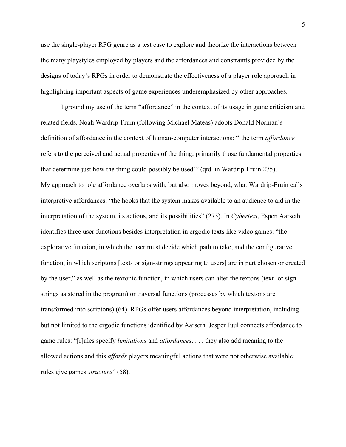use the single-player RPG genre as a test case to explore and theorize the interactions between the many playstyles employed by players and the affordances and constraints provided by the designs of today's RPGs in order to demonstrate the effectiveness of a player role approach in highlighting important aspects of game experiences underemphasized by other approaches.

I ground my use of the term "affordance" in the context of its usage in game criticism and related fields. Noah Wardrip-Fruin (following Michael Mateas) adopts Donald Norman's definition of affordance in the context of human-computer interactions: "'the term *affordance* refers to the perceived and actual properties of the thing, primarily those fundamental properties that determine just how the thing could possibly be used'" (qtd. in Wardrip-Fruin 275). My approach to role affordance overlaps with, but also moves beyond, what Wardrip-Fruin calls interpretive affordances: "the hooks that the system makes available to an audience to aid in the interpretation of the system, its actions, and its possibilities" (275). In *Cybertext*, Espen Aarseth identifies three user functions besides interpretation in ergodic texts like video games: "the explorative function, in which the user must decide which path to take, and the configurative function, in which scriptons [text- or sign-strings appearing to users] are in part chosen or created by the user," as well as the textonic function, in which users can alter the textons (text- or signstrings as stored in the program) or traversal functions (processes by which textons are transformed into scriptons) (64). RPGs offer users affordances beyond interpretation, including but not limited to the ergodic functions identified by Aarseth. Jesper Juul connects affordance to game rules: "[r]ules specify *limitations* and *affordances*. . . . they also add meaning to the allowed actions and this *affords* players meaningful actions that were not otherwise available; rules give games *structure*" (58).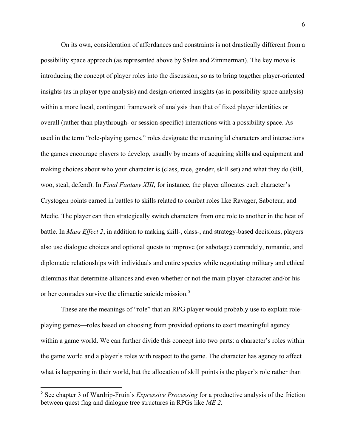On its own, consideration of affordances and constraints is not drastically different from a possibility space approach (as represented above by Salen and Zimmerman). The key move is introducing the concept of player roles into the discussion, so as to bring together player-oriented insights (as in player type analysis) and design-oriented insights (as in possibility space analysis) within a more local, contingent framework of analysis than that of fixed player identities or overall (rather than playthrough- or session-specific) interactions with a possibility space. As used in the term "role-playing games," roles designate the meaningful characters and interactions the games encourage players to develop, usually by means of acquiring skills and equipment and making choices about who your character is (class, race, gender, skill set) and what they do (kill, woo, steal, defend). In *Final Fantasy XIII*, for instance, the player allocates each character's Crystogen points earned in battles to skills related to combat roles like Ravager, Saboteur, and Medic. The player can then strategically switch characters from one role to another in the heat of battle. In *Mass Effect 2*, in addition to making skill-, class-, and strategy-based decisions, players also use dialogue choices and optional quests to improve (or sabotage) comradely, romantic, and diplomatic relationships with individuals and entire species while negotiating military and ethical dilemmas that determine alliances and even whether or not the main player-character and/or his or her comrades survive the climactic suicide mission.<sup>5</sup>

These are the meanings of "role" that an RPG player would probably use to explain roleplaying games—roles based on choosing from provided options to exert meaningful agency within a game world. We can further divide this concept into two parts: a character's roles within the game world and a player's roles with respect to the game. The character has agency to affect what is happening in their world, but the allocation of skill points is the player's role rather than

 <sup>5</sup> See chapter 3 of Wardrip-Fruin's *Expressive Processing* for a productive analysis of the friction between quest flag and dialogue tree structures in RPGs like *ME 2*.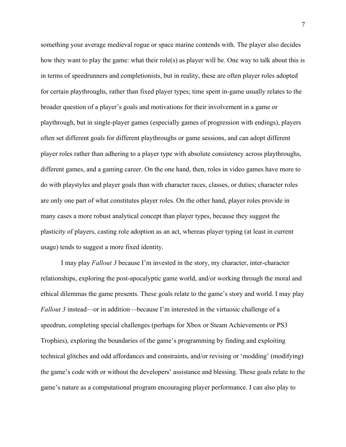something your average medieval rogue or space marine contends with. The player also decides how they want to play the game: what their role(s) as player will be. One way to talk about this is in terms of speedrunners and completionists, but in reality, these are often player roles adopted for certain playthroughs, rather than fixed player types; time spent in-game usually relates to the broader question of a player's goals and motivations for their involvement in a game or playthrough, but in single-player games (especially games of progression with endings), players often set different goals for different playthroughs or game sessions, and can adopt different player roles rather than adhering to a player type with absolute consistency across playthroughs, different games, and a gaming career. On the one hand, then, roles in video games have more to do with playstyles and player goals than with character races, classes, or duties; character roles are only one part of what constitutes player roles. On the other hand, player roles provide in many cases a more robust analytical concept than player types, because they suggest the plasticity of players, casting role adoption as an act, whereas player typing (at least in current usage) tends to suggest a more fixed identity.

I may play *Fallout 3* because I'm invested in the story, my character, inter-character relationships, exploring the post-apocalyptic game world, and/or working through the moral and ethical dilemmas the game presents. These goals relate to the game's story and world. I may play *Fallout 3* instead—or in addition—because I'm interested in the virtuosic challenge of a speedrun, completing special challenges (perhaps for Xbox or Steam Achievements or PS3 Trophies), exploring the boundaries of the game's programming by finding and exploiting technical glitches and odd affordances and constraints, and/or revising or 'modding' (modifying) the game's code with or without the developers' assistance and blessing. These goals relate to the game's nature as a computational program encouraging player performance. I can also play to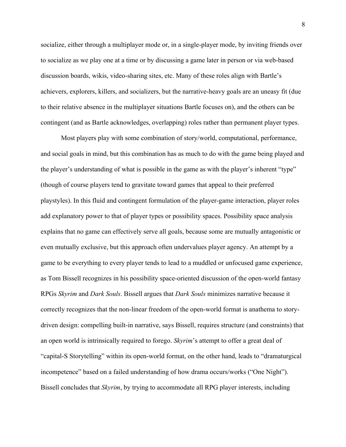socialize, either through a multiplayer mode or, in a single-player mode, by inviting friends over to socialize as we play one at a time or by discussing a game later in person or via web-based discussion boards, wikis, video-sharing sites, etc. Many of these roles align with Bartle's achievers, explorers, killers, and socializers, but the narrative-heavy goals are an uneasy fit (due to their relative absence in the multiplayer situations Bartle focuses on), and the others can be contingent (and as Bartle acknowledges, overlapping) roles rather than permanent player types.

Most players play with some combination of story/world, computational, performance, and social goals in mind, but this combination has as much to do with the game being played and the player's understanding of what is possible in the game as with the player's inherent "type" (though of course players tend to gravitate toward games that appeal to their preferred playstyles). In this fluid and contingent formulation of the player-game interaction, player roles add explanatory power to that of player types or possibility spaces. Possibility space analysis explains that no game can effectively serve all goals, because some are mutually antagonistic or even mutually exclusive, but this approach often undervalues player agency. An attempt by a game to be everything to every player tends to lead to a muddled or unfocused game experience, as Tom Bissell recognizes in his possibility space-oriented discussion of the open-world fantasy RPGs *Skyrim* and *Dark Souls*. Bissell argues that *Dark Souls* minimizes narrative because it correctly recognizes that the non-linear freedom of the open-world format is anathema to storydriven design: compelling built-in narrative, says Bissell, requires structure (and constraints) that an open world is intrinsically required to forego. *Skyrim*'s attempt to offer a great deal of "capital-S Storytelling" within its open-world format, on the other hand, leads to "dramaturgical incompetence" based on a failed understanding of how drama occurs/works ("One Night"). Bissell concludes that *Skyrim*, by trying to accommodate all RPG player interests, including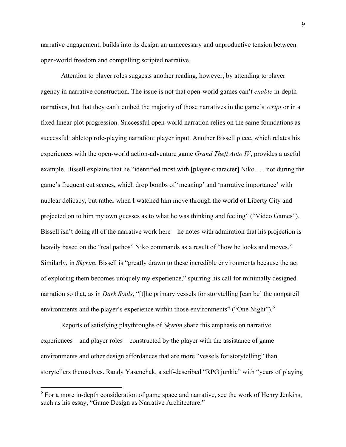narrative engagement, builds into its design an unnecessary and unproductive tension between open-world freedom and compelling scripted narrative.

Attention to player roles suggests another reading, however, by attending to player agency in narrative construction. The issue is not that open-world games can't *enable* in-depth narratives, but that they can't embed the majority of those narratives in the game's *script* or in a fixed linear plot progression. Successful open-world narration relies on the same foundations as successful tabletop role-playing narration: player input. Another Bissell piece, which relates his experiences with the open-world action-adventure game *Grand Theft Auto IV*, provides a useful example. Bissell explains that he "identified most with [player-character] Niko . . . not during the game's frequent cut scenes, which drop bombs of 'meaning' and 'narrative importance' with nuclear delicacy, but rather when I watched him move through the world of Liberty City and projected on to him my own guesses as to what he was thinking and feeling" ("Video Games"). Bissell isn't doing all of the narrative work here—he notes with admiration that his projection is heavily based on the "real pathos" Niko commands as a result of "how he looks and moves." Similarly, in *Skyrim*, Bissell is "greatly drawn to these incredible environments because the act of exploring them becomes uniquely my experience," spurring his call for minimally designed narration so that, as in *Dark Souls*, "[t]he primary vessels for storytelling [can be] the nonpareil environments and the player's experience within those environments" ("One Night").<sup>6</sup>

Reports of satisfying playthroughs of *Skyrim* share this emphasis on narrative experiences—and player roles—constructed by the player with the assistance of game environments and other design affordances that are more "vessels for storytelling" than storytellers themselves. Randy Yasenchak, a self-described "RPG junkie" with "years of playing

 $6$  For a more in-depth consideration of game space and narrative, see the work of Henry Jenkins, such as his essay, "Game Design as Narrative Architecture."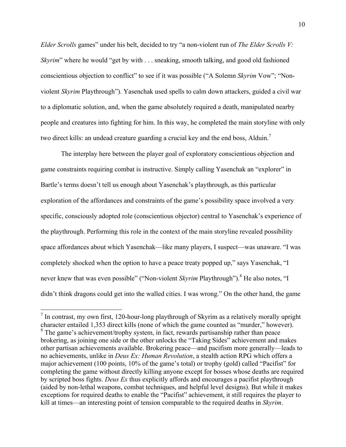*Elder Scrolls* games" under his belt, decided to try "a non-violent run of *The Elder Scrolls V: Skyrim*" where he would "get by with . . . sneaking, smooth talking, and good old fashioned conscientious objection to conflict" to see if it was possible ("A Solemn *Skyrim* Vow"; "Nonviolent *Skyrim* Playthrough"). Yasenchak used spells to calm down attackers, guided a civil war to a diplomatic solution, and, when the game absolutely required a death, manipulated nearby people and creatures into fighting for him. In this way, he completed the main storyline with only two direct kills: an undead creature guarding a crucial key and the end boss, Alduin.<sup>7</sup>

The interplay here between the player goal of exploratory conscientious objection and game constraints requiring combat is instructive. Simply calling Yasenchak an "explorer" in Bartle's terms doesn't tell us enough about Yasenchak's playthrough, as this particular exploration of the affordances and constraints of the game's possibility space involved a very specific, consciously adopted role (conscientious objector) central to Yasenchak's experience of the playthrough. Performing this role in the context of the main storyline revealed possibility space affordances about which Yasenchak—like many players, I suspect—was unaware. "I was completely shocked when the option to have a peace treaty popped up," says Yasenchak, "I never knew that was even possible" ("Non-violent *Skyrim Playthrough"*).<sup>8</sup> He also notes, "I didn't think dragons could get into the walled cities. I was wrong." On the other hand, the game

 $<sup>7</sup>$  In contrast, my own first, 120-hour-long playthrough of Skyrim as a relatively morally upright</sup> character entailed 1,353 direct kills (none of which the game counted as "murder," however). <sup>8</sup> The game's achievement/trophy system, in fact, rewards partisanship rather than peace brokering, as joining one side or the other unlocks the "Taking Sides" achievement and makes other partisan achievements available. Brokering peace—and pacifism more generally—leads to no achievements, unlike in *Deus Ex: Human Revolution*, a stealth action RPG which offers a major achievement (100 points, 10% of the game's total) or trophy (gold) called "Pacifist" for completing the game without directly killing anyone except for bosses whose deaths are required by scripted boss fights. *Deus Ex* thus explicitly affords and encourages a pacifist playthrough (aided by non-lethal weapons, combat techniques, and helpful level designs). But while it makes exceptions for required deaths to enable the "Pacifist" achievement, it still requires the player to kill at times—an interesting point of tension comparable to the required deaths in *Skyrim*.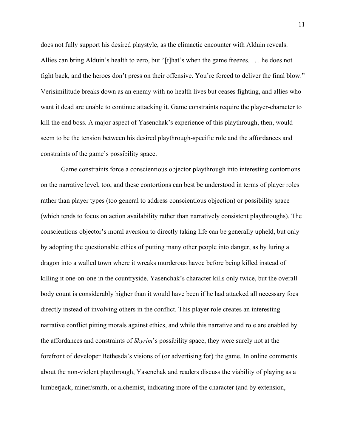does not fully support his desired playstyle, as the climactic encounter with Alduin reveals. Allies can bring Alduin's health to zero, but "[t]hat's when the game freezes. . . . he does not fight back, and the heroes don't press on their offensive. You're forced to deliver the final blow." Verisimilitude breaks down as an enemy with no health lives but ceases fighting, and allies who want it dead are unable to continue attacking it. Game constraints require the player-character to kill the end boss. A major aspect of Yasenchak's experience of this playthrough, then, would seem to be the tension between his desired playthrough-specific role and the affordances and constraints of the game's possibility space.

Game constraints force a conscientious objector playthrough into interesting contortions on the narrative level, too, and these contortions can best be understood in terms of player roles rather than player types (too general to address conscientious objection) or possibility space (which tends to focus on action availability rather than narratively consistent playthroughs). The conscientious objector's moral aversion to directly taking life can be generally upheld, but only by adopting the questionable ethics of putting many other people into danger, as by luring a dragon into a walled town where it wreaks murderous havoc before being killed instead of killing it one-on-one in the countryside. Yasenchak's character kills only twice, but the overall body count is considerably higher than it would have been if he had attacked all necessary foes directly instead of involving others in the conflict. This player role creates an interesting narrative conflict pitting morals against ethics, and while this narrative and role are enabled by the affordances and constraints of *Skyrim*'s possibility space, they were surely not at the forefront of developer Bethesda's visions of (or advertising for) the game. In online comments about the non-violent playthrough, Yasenchak and readers discuss the viability of playing as a lumberjack, miner/smith, or alchemist, indicating more of the character (and by extension,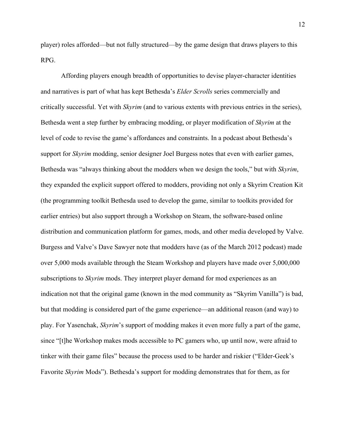player) roles afforded—but not fully structured—by the game design that draws players to this RPG.

Affording players enough breadth of opportunities to devise player-character identities and narratives is part of what has kept Bethesda's *Elder Scrolls* series commercially and critically successful. Yet with *Skyrim* (and to various extents with previous entries in the series), Bethesda went a step further by embracing modding, or player modification of *Skyrim* at the level of code to revise the game's affordances and constraints. In a podcast about Bethesda's support for *Skyrim* modding, senior designer Joel Burgess notes that even with earlier games, Bethesda was "always thinking about the modders when we design the tools," but with *Skyrim*, they expanded the explicit support offered to modders, providing not only a Skyrim Creation Kit (the programming toolkit Bethesda used to develop the game, similar to toolkits provided for earlier entries) but also support through a Workshop on Steam, the software-based online distribution and communication platform for games, mods, and other media developed by Valve. Burgess and Valve's Dave Sawyer note that modders have (as of the March 2012 podcast) made over 5,000 mods available through the Steam Workshop and players have made over 5,000,000 subscriptions to *Skyrim* mods. They interpret player demand for mod experiences as an indication not that the original game (known in the mod community as "Skyrim Vanilla") is bad, but that modding is considered part of the game experience—an additional reason (and way) to play. For Yasenchak, *Skyrim*'s support of modding makes it even more fully a part of the game, since "[t]he Workshop makes mods accessible to PC gamers who, up until now, were afraid to tinker with their game files" because the process used to be harder and riskier ("Elder-Geek's Favorite *Skyrim* Mods"). Bethesda's support for modding demonstrates that for them, as for

12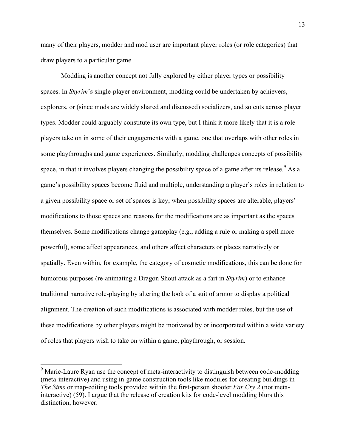many of their players, modder and mod user are important player roles (or role categories) that draw players to a particular game.

Modding is another concept not fully explored by either player types or possibility spaces. In *Skyrim*'s single-player environment, modding could be undertaken by achievers, explorers, or (since mods are widely shared and discussed) socializers, and so cuts across player types. Modder could arguably constitute its own type, but I think it more likely that it is a role players take on in some of their engagements with a game, one that overlaps with other roles in some playthroughs and game experiences. Similarly, modding challenges concepts of possibility space, in that it involves players changing the possibility space of a game after its release.<sup>9</sup> As a game's possibility spaces become fluid and multiple, understanding a player's roles in relation to a given possibility space or set of spaces is key; when possibility spaces are alterable, players' modifications to those spaces and reasons for the modifications are as important as the spaces themselves. Some modifications change gameplay (e.g., adding a rule or making a spell more powerful), some affect appearances, and others affect characters or places narratively or spatially. Even within, for example, the category of cosmetic modifications, this can be done for humorous purposes (re-animating a Dragon Shout attack as a fart in *Skyrim*) or to enhance traditional narrative role-playing by altering the look of a suit of armor to display a political alignment. The creation of such modifications is associated with modder roles, but the use of these modifications by other players might be motivated by or incorporated within a wide variety of roles that players wish to take on within a game, playthrough, or session.

 $9<sup>9</sup>$  Marie-Laure Ryan use the concept of meta-interactivity to distinguish between code-modding (meta-interactive) and using in-game construction tools like modules for creating buildings in *The Sims* or map-editing tools provided within the first-person shooter *Far Cry 2* (not metainteractive) (59). I argue that the release of creation kits for code-level modding blurs this distinction, however.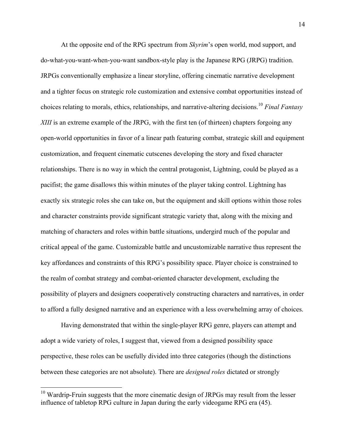At the opposite end of the RPG spectrum from *Skyrim*'s open world, mod support, and do-what-you-want-when-you-want sandbox-style play is the Japanese RPG (JRPG) tradition. JRPGs conventionally emphasize a linear storyline, offering cinematic narrative development and a tighter focus on strategic role customization and extensive combat opportunities instead of choices relating to morals, ethics, relationships, and narrative-altering decisions.10 *Final Fantasy XIII* is an extreme example of the JRPG, with the first ten (of thirteen) chapters forgoing any open-world opportunities in favor of a linear path featuring combat, strategic skill and equipment customization, and frequent cinematic cutscenes developing the story and fixed character relationships. There is no way in which the central protagonist, Lightning, could be played as a pacifist; the game disallows this within minutes of the player taking control. Lightning has exactly six strategic roles she can take on, but the equipment and skill options within those roles and character constraints provide significant strategic variety that, along with the mixing and matching of characters and roles within battle situations, undergird much of the popular and critical appeal of the game. Customizable battle and uncustomizable narrative thus represent the key affordances and constraints of this RPG's possibility space. Player choice is constrained to the realm of combat strategy and combat-oriented character development, excluding the possibility of players and designers cooperatively constructing characters and narratives, in order to afford a fully designed narrative and an experience with a less overwhelming array of choices.

Having demonstrated that within the single-player RPG genre, players can attempt and adopt a wide variety of roles, I suggest that, viewed from a designed possibility space perspective, these roles can be usefully divided into three categories (though the distinctions between these categories are not absolute). There are *designed roles* dictated or strongly

 $10$  Wardrip-Fruin suggests that the more cinematic design of JRPGs may result from the lesser influence of tabletop RPG culture in Japan during the early videogame RPG era (45).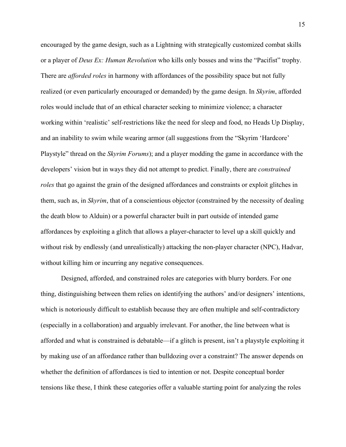encouraged by the game design, such as a Lightning with strategically customized combat skills or a player of *Deus Ex: Human Revolution* who kills only bosses and wins the "Pacifist" trophy. There are *afforded roles* in harmony with affordances of the possibility space but not fully realized (or even particularly encouraged or demanded) by the game design. In *Skyrim*, afforded roles would include that of an ethical character seeking to minimize violence; a character working within 'realistic' self-restrictions like the need for sleep and food, no Heads Up Display, and an inability to swim while wearing armor (all suggestions from the "Skyrim 'Hardcore' Playstyle" thread on the *Skyrim Forums*); and a player modding the game in accordance with the developers' vision but in ways they did not attempt to predict. Finally, there are *constrained roles* that go against the grain of the designed affordances and constraints or exploit glitches in them, such as, in *Skyrim*, that of a conscientious objector (constrained by the necessity of dealing the death blow to Alduin) or a powerful character built in part outside of intended game affordances by exploiting a glitch that allows a player-character to level up a skill quickly and without risk by endlessly (and unrealistically) attacking the non-player character (NPC), Hadvar, without killing him or incurring any negative consequences.

Designed, afforded, and constrained roles are categories with blurry borders. For one thing, distinguishing between them relies on identifying the authors' and/or designers' intentions, which is notoriously difficult to establish because they are often multiple and self-contradictory (especially in a collaboration) and arguably irrelevant. For another, the line between what is afforded and what is constrained is debatable—if a glitch is present, isn't a playstyle exploiting it by making use of an affordance rather than bulldozing over a constraint? The answer depends on whether the definition of affordances is tied to intention or not. Despite conceptual border tensions like these, I think these categories offer a valuable starting point for analyzing the roles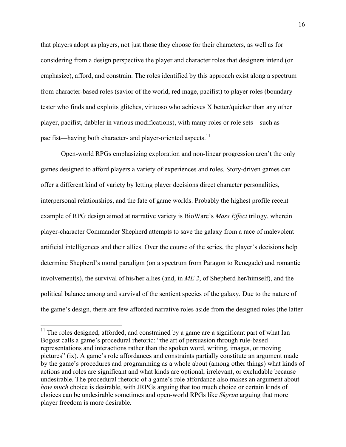that players adopt as players, not just those they choose for their characters, as well as for considering from a design perspective the player and character roles that designers intend (or emphasize), afford, and constrain. The roles identified by this approach exist along a spectrum from character-based roles (savior of the world, red mage, pacifist) to player roles (boundary tester who finds and exploits glitches, virtuoso who achieves X better/quicker than any other player, pacifist, dabbler in various modifications), with many roles or role sets—such as pacifist—having both character- and player-oriented aspects.<sup>11</sup>

Open-world RPGs emphasizing exploration and non-linear progression aren't the only games designed to afford players a variety of experiences and roles. Story-driven games can offer a different kind of variety by letting player decisions direct character personalities, interpersonal relationships, and the fate of game worlds. Probably the highest profile recent example of RPG design aimed at narrative variety is BioWare's *Mass Effect* trilogy, wherein player-character Commander Shepherd attempts to save the galaxy from a race of malevolent artificial intelligences and their allies. Over the course of the series, the player's decisions help determine Shepherd's moral paradigm (on a spectrum from Paragon to Renegade) and romantic involvement(s), the survival of his/her allies (and, in *ME 2*, of Shepherd her/himself), and the political balance among and survival of the sentient species of the galaxy. Due to the nature of the game's design, there are few afforded narrative roles aside from the designed roles (the latter

<sup>&</sup>lt;sup>11</sup> The roles designed, afforded, and constrained by a game are a significant part of what Ian Bogost calls a game's procedural rhetoric: "the art of persuasion through rule-based representations and interactions rather than the spoken word, writing, images, or moving pictures" (ix). A game's role affordances and constraints partially constitute an argument made by the game's procedures and programming as a whole about (among other things) what kinds of actions and roles are significant and what kinds are optional, irrelevant, or excludable because undesirable. The procedural rhetoric of a game's role affordance also makes an argument about *how much* choice is desirable, with JRPGs arguing that too much choice or certain kinds of choices can be undesirable sometimes and open-world RPGs like *Skyrim* arguing that more player freedom is more desirable.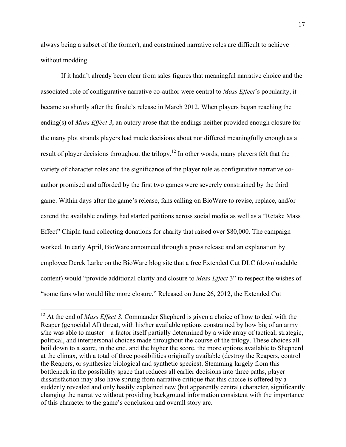always being a subset of the former), and constrained narrative roles are difficult to achieve without modding.

If it hadn't already been clear from sales figures that meaningful narrative choice and the associated role of configurative narrative co-author were central to *Mass Effect*'s popularity, it became so shortly after the finale's release in March 2012. When players began reaching the ending(s) of *Mass Effect 3*, an outcry arose that the endings neither provided enough closure for the many plot strands players had made decisions about nor differed meaningfully enough as a result of player decisions throughout the trilogy.<sup>12</sup> In other words, many players felt that the variety of character roles and the significance of the player role as configurative narrative coauthor promised and afforded by the first two games were severely constrained by the third game. Within days after the game's release, fans calling on BioWare to revise, replace, and/or extend the available endings had started petitions across social media as well as a "Retake Mass Effect" ChipIn fund collecting donations for charity that raised over \$80,000. The campaign worked. In early April, BioWare announced through a press release and an explanation by employee Derek Larke on the BioWare blog site that a free Extended Cut DLC (downloadable content) would "provide additional clarity and closure to *Mass Effect* 3" to respect the wishes of "some fans who would like more closure." Released on June 26, 2012, the Extended Cut

<sup>&</sup>lt;sup>12</sup> At the end of *Mass Effect 3*, Commander Shepherd is given a choice of how to deal with the Reaper (genocidal AI) threat, with his/her available options constrained by how big of an army s/he was able to muster—a factor itself partially determined by a wide array of tactical, strategic, political, and interpersonal choices made throughout the course of the trilogy. These choices all boil down to a score, in the end, and the higher the score, the more options available to Shepherd at the climax, with a total of three possibilities originally available (destroy the Reapers, control the Reapers, or synthesize biological and synthetic species). Stemming largely from this bottleneck in the possibility space that reduces all earlier decisions into three paths, player dissatisfaction may also have sprung from narrative critique that this choice is offered by a suddenly revealed and only hastily explained new (but apparently central) character, significantly changing the narrative without providing background information consistent with the importance of this character to the game's conclusion and overall story arc.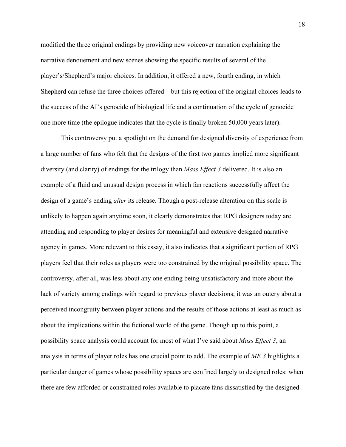modified the three original endings by providing new voiceover narration explaining the narrative denouement and new scenes showing the specific results of several of the player's/Shepherd's major choices. In addition, it offered a new, fourth ending, in which Shepherd can refuse the three choices offered—but this rejection of the original choices leads to the success of the AI's genocide of biological life and a continuation of the cycle of genocide one more time (the epilogue indicates that the cycle is finally broken 50,000 years later).

This controversy put a spotlight on the demand for designed diversity of experience from a large number of fans who felt that the designs of the first two games implied more significant diversity (and clarity) of endings for the trilogy than *Mass Effect 3* delivered. It is also an example of a fluid and unusual design process in which fan reactions successfully affect the design of a game's ending *after* its release. Though a post-release alteration on this scale is unlikely to happen again anytime soon, it clearly demonstrates that RPG designers today are attending and responding to player desires for meaningful and extensive designed narrative agency in games. More relevant to this essay, it also indicates that a significant portion of RPG players feel that their roles as players were too constrained by the original possibility space. The controversy, after all, was less about any one ending being unsatisfactory and more about the lack of variety among endings with regard to previous player decisions; it was an outcry about a perceived incongruity between player actions and the results of those actions at least as much as about the implications within the fictional world of the game. Though up to this point, a possibility space analysis could account for most of what I've said about *Mass Effect 3*, an analysis in terms of player roles has one crucial point to add. The example of *ME 3* highlights a particular danger of games whose possibility spaces are confined largely to designed roles: when there are few afforded or constrained roles available to placate fans dissatisfied by the designed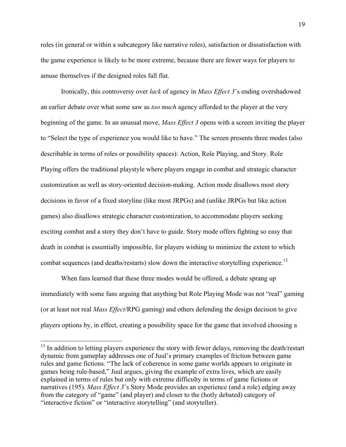roles (in general or within a subcategory like narrative roles), satisfaction or dissatisfaction with the game experience is likely to be more extreme, because there are fewer ways for players to amuse themselves if the designed roles fall flat.

Ironically, this controversy over *lack* of agency in *Mass Effect 3*'s ending overshadowed an earlier debate over what some saw as *too much* agency afforded to the player at the very beginning of the game. In an unusual move, *Mass Effect 3* opens with a screen inviting the player to "Select the type of experience you would like to have." The screen presents three modes (also describable in terms of roles or possibility spaces): Action, Role Playing, and Story. Role Playing offers the traditional playstyle where players engage in combat and strategic character customization as well as story-oriented decision-making. Action mode disallows most story decisions in favor of a fixed storyline (like most JRPGs) and (unlike JRPGs but like action games) also disallows strategic character customization, to accommodate players seeking exciting combat and a story they don't have to guide. Story mode offers fighting so easy that death in combat is essentially impossible, for players wishing to minimize the extent to which combat sequences (and deaths/restarts) slow down the interactive storytelling experience.<sup>13</sup>

When fans learned that these three modes would be offered, a debate sprang up immediately with some fans arguing that anything but Role Playing Mode was not "real" gaming (or at least not real *Mass Effect*/RPG gaming) and others defending the design decision to give players options by, in effect, creating a possibility space for the game that involved choosing a

<sup>&</sup>lt;sup>13</sup> In addition to letting players experience the story with fewer delays, removing the death/restart dynamic from gameplay addresses one of Juul's primary examples of friction between game rules and game fictions. "The lack of coherence in some game worlds appears to originate in games being rule-based," Juul argues, giving the example of extra lives, which are easily explained in terms of rules but only with extreme difficulty in terms of game fictions or narratives (195). *Mass Effect 3*'s Story Mode provides an experience (and a role) edging away from the category of "game" (and player) and closer to the (hotly debated) category of "interactive fiction" or "interactive storytelling" (and storyteller).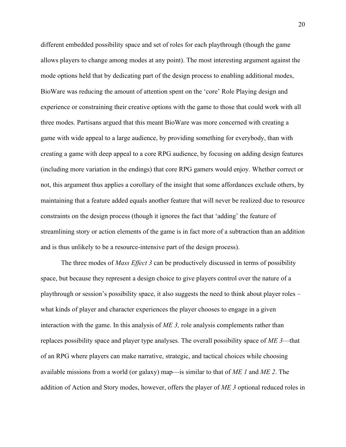different embedded possibility space and set of roles for each playthrough (though the game allows players to change among modes at any point). The most interesting argument against the mode options held that by dedicating part of the design process to enabling additional modes, BioWare was reducing the amount of attention spent on the 'core' Role Playing design and experience or constraining their creative options with the game to those that could work with all three modes. Partisans argued that this meant BioWare was more concerned with creating a game with wide appeal to a large audience, by providing something for everybody, than with creating a game with deep appeal to a core RPG audience, by focusing on adding design features (including more variation in the endings) that core RPG gamers would enjoy. Whether correct or not, this argument thus applies a corollary of the insight that some affordances exclude others, by maintaining that a feature added equals another feature that will never be realized due to resource constraints on the design process (though it ignores the fact that 'adding' the feature of streamlining story or action elements of the game is in fact more of a subtraction than an addition and is thus unlikely to be a resource-intensive part of the design process).

The three modes of *Mass Effect 3* can be productively discussed in terms of possibility space, but because they represent a design choice to give players control over the nature of a playthrough or session's possibility space, it also suggests the need to think about player roles – what kinds of player and character experiences the player chooses to engage in a given interaction with the game. In this analysis of *ME 3,* role analysis complements rather than replaces possibility space and player type analyses. The overall possibility space of *ME 3*—that of an RPG where players can make narrative, strategic, and tactical choices while choosing available missions from a world (or galaxy) map—is similar to that of *ME 1* and *ME 2*. The addition of Action and Story modes, however, offers the player of *ME 3* optional reduced roles in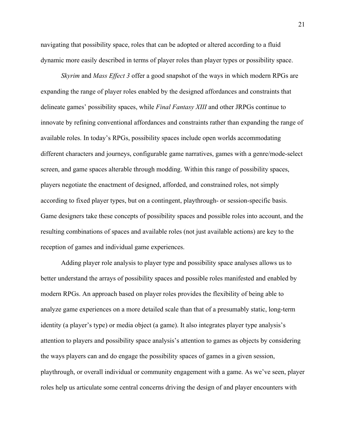navigating that possibility space, roles that can be adopted or altered according to a fluid dynamic more easily described in terms of player roles than player types or possibility space.

*Skyrim* and *Mass Effect 3* offer a good snapshot of the ways in which modern RPGs are expanding the range of player roles enabled by the designed affordances and constraints that delineate games' possibility spaces, while *Final Fantasy XIII* and other JRPGs continue to innovate by refining conventional affordances and constraints rather than expanding the range of available roles. In today's RPGs, possibility spaces include open worlds accommodating different characters and journeys, configurable game narratives, games with a genre/mode-select screen, and game spaces alterable through modding. Within this range of possibility spaces, players negotiate the enactment of designed, afforded, and constrained roles, not simply according to fixed player types, but on a contingent, playthrough- or session-specific basis. Game designers take these concepts of possibility spaces and possible roles into account, and the resulting combinations of spaces and available roles (not just available actions) are key to the reception of games and individual game experiences.

Adding player role analysis to player type and possibility space analyses allows us to better understand the arrays of possibility spaces and possible roles manifested and enabled by modern RPGs. An approach based on player roles provides the flexibility of being able to analyze game experiences on a more detailed scale than that of a presumably static, long-term identity (a player's type) or media object (a game). It also integrates player type analysis's attention to players and possibility space analysis's attention to games as objects by considering the ways players can and do engage the possibility spaces of games in a given session, playthrough, or overall individual or community engagement with a game. As we've seen, player roles help us articulate some central concerns driving the design of and player encounters with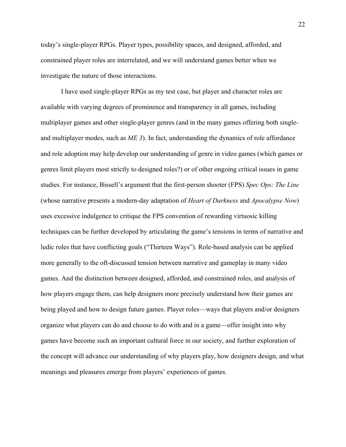today's single-player RPGs. Player types, possibility spaces, and designed, afforded, and constrained player roles are interrelated, and we will understand games better when we investigate the nature of those interactions.

I have used single-player RPGs as my test case, but player and character roles are available with varying degrees of prominence and transparency in all games, including multiplayer games and other single-player genres (and in the many games offering both singleand multiplayer modes, such as *ME 3*). In fact, understanding the dynamics of role affordance and role adoption may help develop our understanding of genre in video games (which games or genres limit players most strictly to designed roles?) or of other ongoing critical issues in game studies. For instance, Bissell's argument that the first-person shooter (FPS) *Spec Ops: The Line* (whose narrative presents a modern-day adaptation of *Heart of Darkness* and *Apocalypse Now*) uses excessive indulgence to critique the FPS convention of rewarding virtuosic killing techniques can be further developed by articulating the game's tensions in terms of narrative and ludic roles that have conflicting goals ("Thirteen Ways"). Role-based analysis can be applied more generally to the oft-discussed tension between narrative and gameplay in many video games. And the distinction between designed, afforded, and constrained roles, and analysis of how players engage them, can help designers more precisely understand how their games are being played and how to design future games. Player roles—ways that players and/or designers organize what players can do and choose to do with and in a game—offer insight into why games have become such an important cultural force in our society, and further exploration of the concept will advance our understanding of why players play, how designers design, and what meanings and pleasures emerge from players' experiences of games.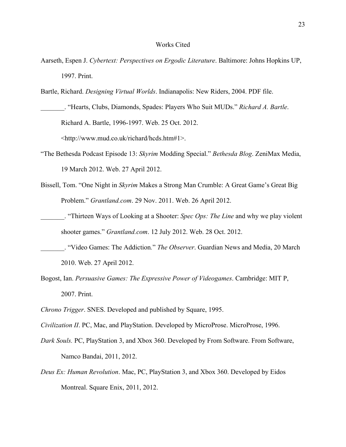## Works Cited

- Aarseth, Espen J. *Cybertext: Perspectives on Ergodic Literature*. Baltimore: Johns Hopkins UP, 1997. Print.
- Bartle, Richard. *Designing Virtual Worlds*. Indianapolis: New Riders, 2004. PDF file.

\_\_\_\_\_\_\_. "Hearts, Clubs, Diamonds, Spades: Players Who Suit MUDs." *Richard A. Bartle*. Richard A. Bartle, 1996-1997. Web. 25 Oct. 2012. <http://www.mud.co.uk/richard/hcds.htm#1>.

- "The Bethesda Podcast Episode 13: *Skyrim* Modding Special." *Bethesda Blog*. ZeniMax Media, 19 March 2012. Web. 27 April 2012.
- Bissell, Tom. "One Night in *Skyrim* Makes a Strong Man Crumble: A Great Game's Great Big Problem." *Grantland.com*. 29 Nov. 2011. Web. 26 April 2012.
- \_\_\_\_\_\_\_. "Thirteen Ways of Looking at a Shooter: *Spec Ops: The Line* and why we play violent shooter games." *Grantland.com*. 12 July 2012. Web. 28 Oct. 2012.
- \_\_\_\_\_\_\_. "Video Games: The Addiction*.*" *The Observer*. Guardian News and Media, 20 March 2010. Web. 27 April 2012.
- Bogost, Ian. *Persuasive Games: The Expressive Power of Videogames*. Cambridge: MIT P, 2007. Print.
- *Chrono Trigger*. SNES. Developed and published by Square, 1995.
- *Civilization II*. PC, Mac, and PlayStation. Developed by MicroProse. MicroProse, 1996.
- *Dark Souls.* PC, PlayStation 3, and Xbox 360. Developed by From Software. From Software, Namco Bandai, 2011, 2012.
- *Deus Ex: Human Revolution*. Mac, PC, PlayStation 3, and Xbox 360. Developed by Eidos Montreal. Square Enix, 2011, 2012.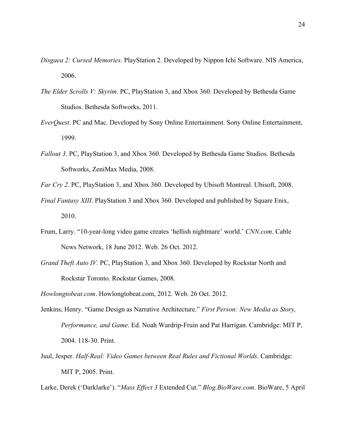- *Disgaea 2: Cursed Memories*. PlayStation 2. Developed by Nippon Ichi Software. NIS America, 2006.
- *The Elder Scrolls V: Skyrim*. PC, PlayStation 3, and Xbox 360. Developed by Bethesda Game Studios. Bethesda Softworks, 2011.
- *EverQuest*. PC and Mac. Developed by Sony Online Entertainment. Sony Online Entertainment, 1999.
- *Fallout 3*. PC, PlayStation 3, and Xbox 360. Developed by Bethesda Game Studios. Bethesda Softworks, ZeniMax Media, 2008.
- *Far Cry 2*. PC, PlayStation 3, and Xbox 360. Developed by Ubisoft Montreal. Ubisoft, 2008.
- *Final Fantasy XIII*. PlayStation 3 and Xbox 360. Developed and published by Square Enix, 2010.
- Frum, Larry. "10-year-long video game creates 'hellish nightmare' world.' *CNN.com*. Cable News Network, 18 June 2012. Web. 26 Oct. 2012.
- *Grand Theft Auto IV.* PC, PlayStation 3, and Xbox 360. Developed by Rockstar North and Rockstar Toronto. Rockstar Games, 2008.
- *Howlongtobeat.com*. Howlongtobeat.com, 2012. Web. 26 Oct. 2012.
- Jenkins, Henry. "Game Design as Narrative Architecture." *First Person: New Media as Story, Performance, and Game*. Ed. Noah Wardrip-Fruin and Pat Harrigan. Cambridge: MIT P, 2004. 118-30. Print.
- Juul, Jesper. *Half-Real: Video Games between Real Rules and Fictional Worlds*. Cambridge: MIT P, 2005. Print.

Larke, Derek ('Darklarke'). "*Mass Effect 3* Extended Cut." *Blog.BioWare.com*. BioWare, 5 April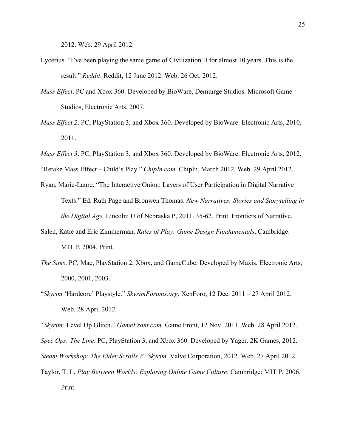2012. Web. 29 April 2012.

- Lycerius. "I've been playing the same game of Civilization II for almost 10 years. This is the result." *Reddit*. Reddit, 12 June 2012. Web. 26 Oct. 2012.
- *Mass Effect*. PC and Xbox 360. Developed by BioWare, Demiurge Studios. Microsoft Game Studios, Electronic Arts, 2007.
- *Mass Effect 2*. PC, PlayStation 3, and Xbox 360. Developed by BioWare. Electronic Arts, 2010, 2011.
- *Mass Effect 3*. PC, PlayStation 3, and Xbox 360. Developed by BioWare. Electronic Arts, 2012.

"Retake Mass Effect – Child's Play." *ChipIn.com.* ChipIn, March 2012. Web. 29 April 2012.

- Ryan, Marie-Laure. "The Interactive Onion: Layers of User Participation in Digital Narrative Texts." Ed. Ruth Page and Bronwen Thomas. *New Narratives: Stories and Storytelling in the Digital Age.* Lincoln: U of Nebraska P, 2011. 35-62. Print. Frontiers of Narrative.
- Salen, Katie and Eric Zimmerman. *Rules of Play: Game Design Fundamentals*. Cambridge: MIT P, 2004. Print.
- *The Sims*. PC, Mac, PlayStation 2, Xbox, and GameCube. Developed by Maxis. Electronic Arts, 2000, 2001, 2003.
- "*Skyrim* 'Hardcore' Playstyle." *SkyrimForums.org.* XenForo, 12 Dec. 2011 27 April 2012. Web. 28 April 2012.

"*Skyrim:* Level Up Glitch." *GameFront.com.* Game Front, 12 Nov. 2011. Web. 28 April 2012.

*Spec Ops: The Line*. PC, PlayStation 3, and Xbox 360. Developed by Yager. 2K Games, 2012.

*Steam Workshop: The Elder Scrolls V: Skyrim.* Valve Corporation, 2012. Web. 27 April 2012.

Taylor, T. L. *Play Between Worlds: Exploring Online Game Culture*. Cambridge: MIT P, 2006. Print.